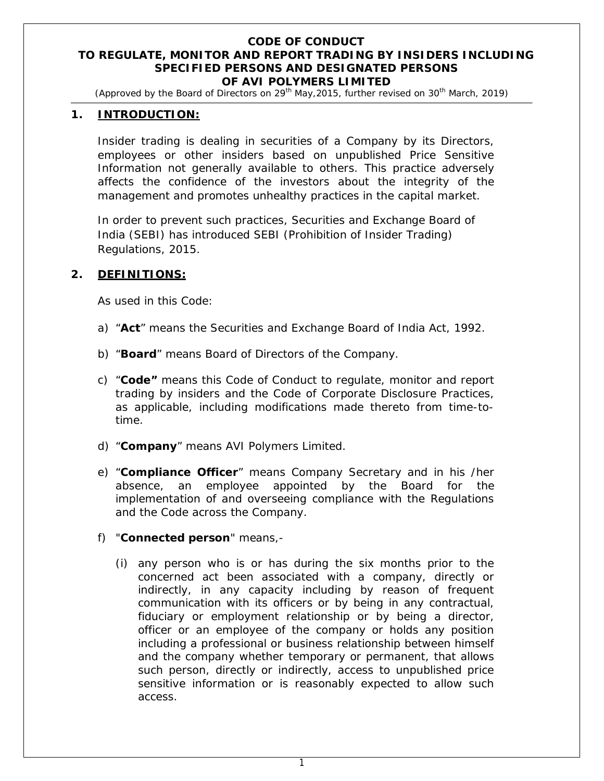#### **CODE OF CONDUCT TO REGULATE, MONITOR AND REPORT TRADING BY INSIDERS INCLUDING SPECIFIED PERSONS AND DESIGNATED PERSONS OF AVI POLYMERS LIMITED**

*(Approved by the Board of Directors on 29th May,2015, further revised on 30th March, 2019)*

#### **1. INTRODUCTION:**

Insider trading is dealing in securities of a Company by its Directors, employees or other insiders based on unpublished Price Sensitive Information not generally available to others. This practice adversely affects the confidence of the investors about the integrity of the management and promotes unhealthy practices in the capital market.

In order to prevent such practices, Securities and Exchange Board of India (SEBI) has introduced SEBI (Prohibition of Insider Trading) Regulations, 2015.

#### **2. DEFINITIONS:**

As used in this Code:

- a) "**Act**" means the Securities and Exchange Board of India Act, 1992.
- b) "**Board**" means Board of Directors of the Company.
- c) "**Code"** means this Code of Conduct to regulate, monitor and report trading by insiders and the Code of Corporate Disclosure Practices, as applicable, including modifications made thereto from time-totime.
- d) "**Company**" means AVI Polymers Limited.
- e) "**Compliance Officer**" means Company Secretary and in his /her absence, an employee appointed by the Board for the implementation of and overseeing compliance with the Regulations and the Code across the Company.
- f) "**Connected person**" means,-
	- (i) any person who is or has during the six months prior to the concerned act been associated with a company, directly or indirectly, in any capacity including by reason of frequent communication with its officers or by being in any contractual, fiduciary or employment relationship or by being a director, officer or an employee of the company or holds any position including a professional or business relationship between himself and the company whether temporary or permanent, that allows such person, directly or indirectly, access to unpublished price sensitive information or is reasonably expected to allow such access.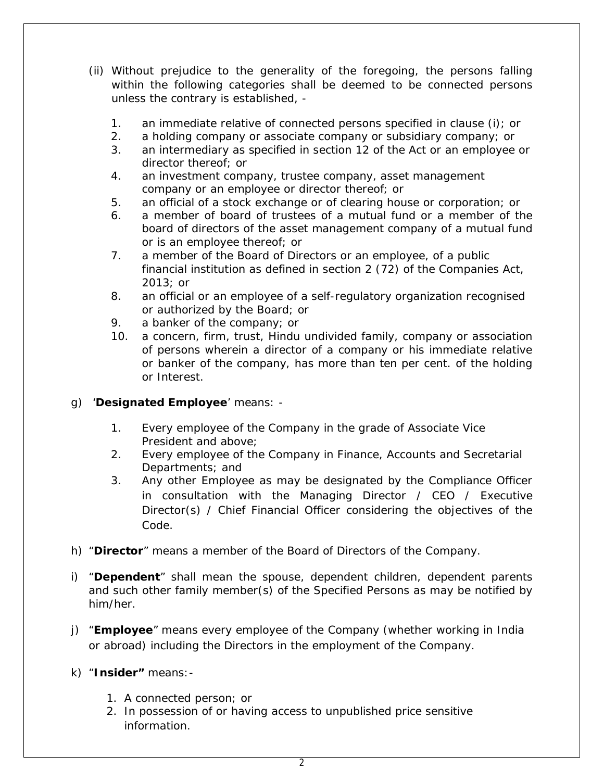- (ii) Without prejudice to the generality of the foregoing, the persons falling within the following categories shall be deemed to be connected persons unless the contrary is established, -
	- 1. an immediate relative of connected persons specified in clause (i); or
	- 2. a holding company or associate company or subsidiary company; or
	- 3. an intermediary as specified in section 12 of the Act or an employee or director thereof; or
	- 4. an investment company, trustee company, asset management company or an employee or director thereof; or
	- 5. an official of a stock exchange or of clearing house or corporation; or
	- 6. a member of board of trustees of a mutual fund or a member of the board of directors of the asset management company of a mutual fund or is an employee thereof; or
	- 7. a member of the Board of Directors or an employee, of a public financial institution as defined in section 2 (72) of the Companies Act, 2013; or
	- 8. an official or an employee of a self-regulatory organization recognised or authorized by the Board; or
	- 9. a banker of the company; or
	- 10. a concern, firm, trust, Hindu undivided family, company or association of persons wherein a director of a company or his immediate relative or banker of the company, has more than ten per cent. of the holding or Interest.
- g) '**Designated Employee**' means:
	- 1. Every employee of the Company in the grade of Associate Vice President and above;
	- 2. Every employee of the Company in Finance, Accounts and Secretarial Departments; and
	- 3. Any other Employee as may be designated by the Compliance Officer in consultation with the Managing Director / CEO / Executive Director(s) / Chief Financial Officer considering the objectives of the Code.
- h) "**Director**" means a member of the Board of Directors of the Company.
- i) "**Dependent**" shall mean the spouse, dependent children, dependent parents and such other family member(s) of the Specified Persons as may be notified by him/her.
- j) "**Employee**" means every employee of the Company (whether working in India or abroad) including the Directors in the employment of the Company.
- k) "**Insider"** means:-
	- 1. A connected person; or
	- 2. In possession of or having access to unpublished price sensitive information.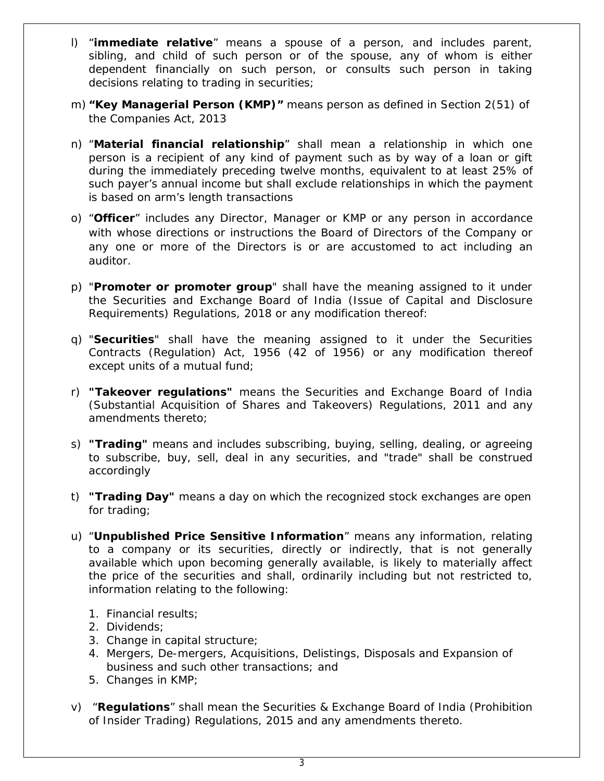- l) "**immediate relative**" means a spouse of a person, and includes parent, sibling, and child of such person or of the spouse, any of whom is either dependent financially on such person, or consults such person in taking decisions relating to trading in securities;
- m) **"Key Managerial Person (KMP)"** means person as defined in Section 2(51) of the Companies Act, 2013
- n) "**Material financial relationship**" shall mean a relationship in which one person is a recipient of any kind of payment such as by way of a loan or gift during the immediately preceding twelve months, equivalent to at least 25% of such payer's annual income but shall exclude relationships in which the payment is based on arm's length transactions
- o) "**Officer**" includes any Director, Manager or KMP or any person in accordance with whose directions or instructions the Board of Directors of the Company or any one or more of the Directors is or are accustomed to act including an auditor.
- p) "**Promoter or promoter group**" shall have the meaning assigned to it under the Securities and Exchange Board of India (Issue of Capital and Disclosure Requirements) Regulations, 2018 or any modification thereof:
- q) "**Securities**" shall have the meaning assigned to it under the Securities Contracts (Regulation) Act, 1956 (42 of 1956) or any modification thereof except units of a mutual fund;
- r) **"Takeover regulations"** means the Securities and Exchange Board of India (Substantial Acquisition of Shares and Takeovers) Regulations, 2011 and any amendments thereto;
- s) **"Trading"** means and includes subscribing, buying, selling, dealing, or agreeing to subscribe, buy, sell, deal in any securities, and "trade" shall be construed accordingly
- t) **"Trading Day"** means a day on which the recognized stock exchanges are open for trading;
- u) "**Unpublished Price Sensitive Information**" means any information, relating to a company or its securities, directly or indirectly, that is not generally available which upon becoming generally available, is likely to materially affect the price of the securities and shall, ordinarily including but not restricted to, information relating to the following:
	- 1. Financial results;
	- 2. Dividends;
	- 3. Change in capital structure;
	- 4. Mergers, De-mergers, Acquisitions, Delistings, Disposals and Expansion of business and such other transactions; and
	- 5. Changes in KMP;
- v) "**Regulations**" shall mean the Securities & Exchange Board of India (Prohibition of Insider Trading) Regulations, 2015 and any amendments thereto.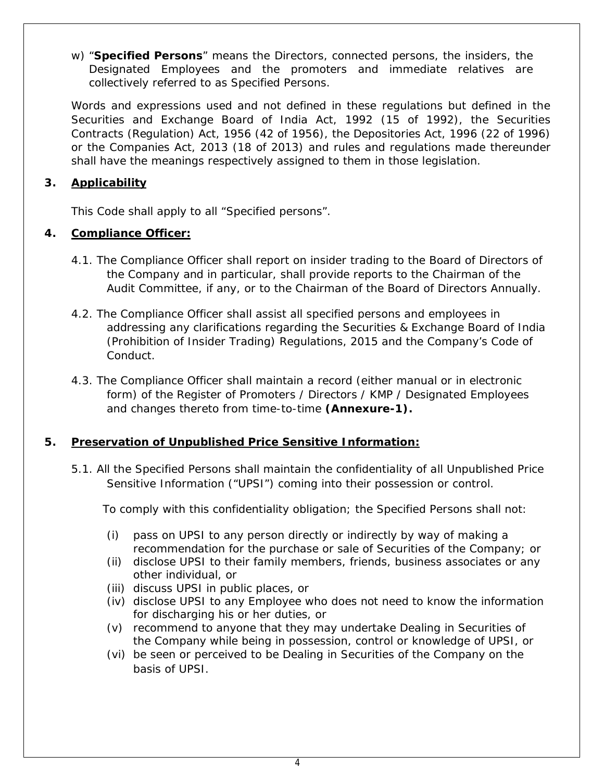w) "**Specified Persons**" means the Directors, connected persons, the insiders, the Designated Employees and the promoters and immediate relatives are collectively referred to as Specified Persons.

Words and expressions used and not defined in these regulations but defined in the Securities and Exchange Board of India Act, 1992 (15 of 1992), the Securities Contracts (Regulation) Act, 1956 (42 of 1956), the Depositories Act, 1996 (22 of 1996) or the Companies Act, 2013 (18 of 2013) and rules and regulations made thereunder shall have the meanings respectively assigned to them in those legislation.

# **3. Applicability**

This Code shall apply to all "Specified persons".

## **4. Compliance Officer:**

- 4.1. The Compliance Officer shall report on insider trading to the Board of Directors of the Company and in particular, shall provide reports to the Chairman of the Audit Committee, if any, or to the Chairman of the Board of Directors Annually.
- 4.2. The Compliance Officer shall assist all specified persons and employees in addressing any clarifications regarding the Securities & Exchange Board of India (Prohibition of Insider Trading) Regulations, 2015 and the Company's Code of Conduct.
- 4.3. The Compliance Officer shall maintain a record (either manual or in electronic form) of the Register of Promoters / Directors / KMP / Designated Employees and changes thereto from time-to-time **(Annexure-1).**

# **5. Preservation of Unpublished Price Sensitive Information:**

5.1. All the Specified Persons shall maintain the confidentiality of all Unpublished Price Sensitive Information ("UPSI") coming into their possession or control.

To comply with this confidentiality obligation; the Specified Persons shall not:

- (i) pass on UPSI to any person directly or indirectly by way of making a recommendation for the purchase or sale of Securities of the Company; or
- (ii) disclose UPSI to their family members, friends, business associates or any other individual, or
- (iii) discuss UPSI in public places, or
- (iv) disclose UPSI to any Employee who does not need to know the information for discharging his or her duties, or
- (v) recommend to anyone that they may undertake Dealing in Securities of the Company while being in possession, control or knowledge of UPSI, or
- (vi) be seen or perceived to be Dealing in Securities of the Company on the basis of UPSI.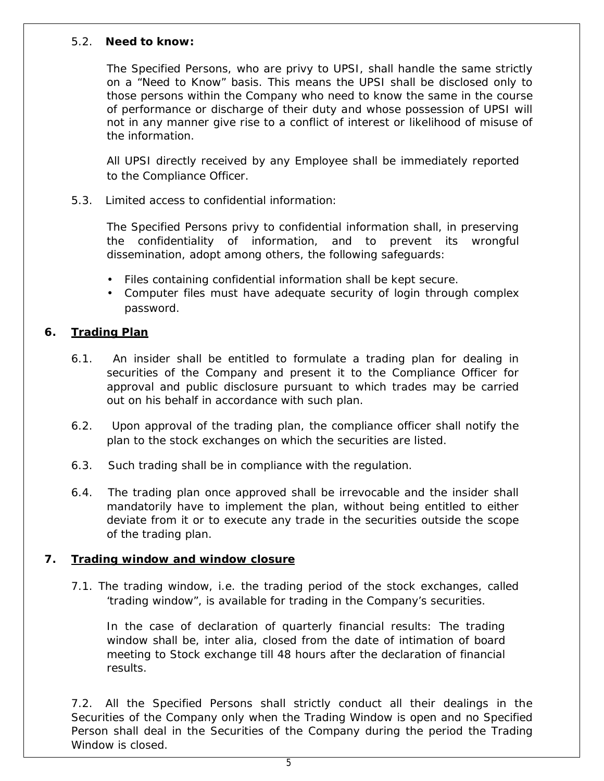#### 5.2. **Need to know:**

The Specified Persons, who are privy to UPSI, shall handle the same strictly on a "Need to Know" basis. This means the UPSI shall be disclosed only to those persons within the Company who need to know the same in the course of performance or discharge of their duty and whose possession of UPSI will not in any manner give rise to a conflict of interest or likelihood of misuse of the information.

All UPSI directly received by any Employee shall be immediately reported to the Compliance Officer.

5.3. Limited access to confidential information:

The Specified Persons privy to confidential information shall, in preserving the confidentiality of information, and to prevent its wrongful dissemination, adopt among others, the following safeguards:

- Files containing confidential information shall be kept secure.
- Computer files must have adequate security of login through complex password.

## **6. Trading Plan**

- 6.1. An insider shall be entitled to formulate a trading plan for dealing in securities of the Company and present it to the Compliance Officer for approval and public disclosure pursuant to which trades may be carried out on his behalf in accordance with such plan.
- 6.2. Upon approval of the trading plan, the compliance officer shall notify the plan to the stock exchanges on which the securities are listed.
- 6.3. Such trading shall be in compliance with the regulation.
- 6.4. The trading plan once approved shall be irrevocable and the insider shall mandatorily have to implement the plan, without being entitled to either deviate from it or to execute any trade in the securities outside the scope of the trading plan.

## **7. Trading window and window closure**

7.1. The trading window, i.e. the trading period of the stock exchanges, called 'trading window", is available for trading in the Company's securities.

In the case of declaration of quarterly financial results: The trading window shall be, inter alia, closed from the date of intimation of board meeting to Stock exchange till 48 hours after the declaration of financial results.

7.2. All the Specified Persons shall strictly conduct all their dealings in the Securities of the Company only when the Trading Window is open and no Specified Person shall deal in the Securities of the Company during the period the Trading Window is closed.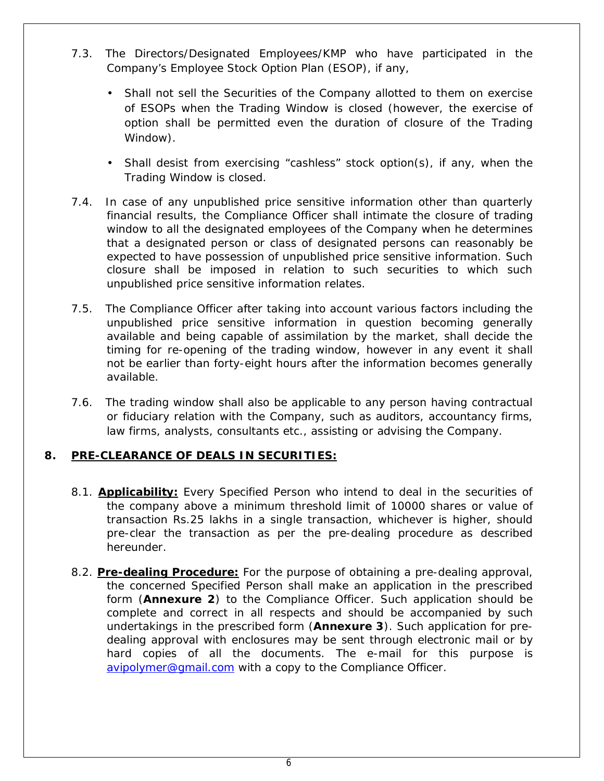- 7.3. The Directors/Designated Employees/KMP who have participated in the Company's Employee Stock Option Plan (ESOP), if any,
	- Shall not sell the Securities of the Company allotted to them on exercise of ESOPs when the Trading Window is closed (however, the exercise of option shall be permitted even the duration of closure of the Trading Window).
	- Shall desist from exercising "cashless" stock option(s), if any, when the Trading Window is closed.
- 7.4. In case of any unpublished price sensitive information other than quarterly financial results, the Compliance Officer shall intimate the closure of trading window to all the designated employees of the Company when he determines that a designated person or class of designated persons can reasonably be expected to have possession of unpublished price sensitive information. Such closure shall be imposed in relation to such securities to which such unpublished price sensitive information relates.
- 7.5. The Compliance Officer after taking into account various factors including the unpublished price sensitive information in question becoming generally available and being capable of assimilation by the market, shall decide the timing for re-opening of the trading window, however in any event it shall not be earlier than forty-eight hours after the information becomes generally available.
- 7.6. The trading window shall also be applicable to any person having contractual or fiduciary relation with the Company, such as auditors, accountancy firms, law firms, analysts, consultants etc., assisting or advising the Company.

## **8. PRE-CLEARANCE OF DEALS IN SECURITIES:**

- 8.1. **Applicability:** Every Specified Person who intend to deal in the securities of the company above a minimum threshold limit of 10000 shares or value of transaction Rs.25 lakhs in a single transaction, whichever is higher, should pre-clear the transaction as per the pre-dealing procedure as described hereunder.
- 8.2. **Pre-dealing Procedure:** For the purpose of obtaining a *pre-dealing* approval, the concerned Specified Person shall make an application in the prescribed form (*Annexure 2*) to the Compliance Officer. Such application should be complete and correct in all respects and should be accompanied by such undertakings in the prescribed form (*Annexure 3*). Such application for *predealing* approval with enclosures may be sent through electronic mail or by hard copies of all the documents. The e-mail for this purpose is avipolymer@gmail.com with a copy to the Compliance Officer.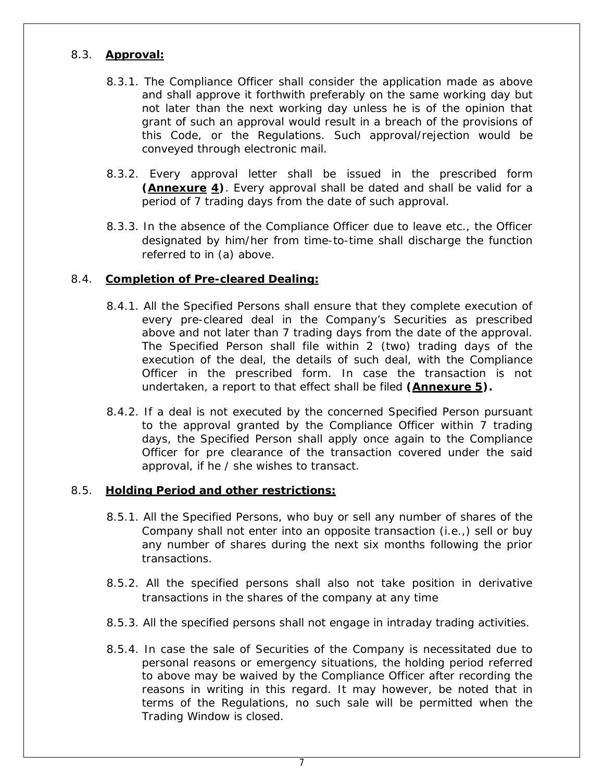#### 8.3. **Approval:**

- 8.3.1. The Compliance Officer shall consider the application made as above and shall approve it forthwith preferably on the same working day but not later than the next working day unless he is of the opinion that grant of such an approval would result in a breach of the provisions of this Code, or the Regulations. Such approval/rejection would be conveyed through electronic mail.
- 8.3.2. Every approval letter shall be issued in the prescribed form *(Annexure 4)*. Every approval shall be dated and shall be valid for a period of 7 trading days from the date of such approval.
- 8.3.3. In the absence of the Compliance Officer due to leave etc., the Officer designated by him/her from time-to-time shall discharge the function referred to in (a) above.

#### 8.4. **Completion of Pre-cleared Dealing:**

- 8.4.1. All the Specified Persons shall ensure that they complete execution of every pre-cleared deal in the Company's Securities as prescribed above and not later than 7 trading days from the date of the approval. The Specified Person shall file within 2 (two) trading days of the execution of the deal, the details of such deal, with the Compliance Officer in the prescribed form. In case the transaction is not undertaken, a report to that effect shall be filed **(***Annexure 5***).**
- 8.4.2. If a deal is not executed by the concerned Specified Person pursuant to the approval granted by the Compliance Officer within 7 trading days, the Specified Person shall apply once again to the Compliance Officer for *pre clearance* of the transaction covered under the said approval, if he / she wishes to transact.

#### 8.5. **Holding Period and other restrictions:**

- 8.5.1. All the Specified Persons, who buy or sell any number of shares of the Company shall not enter into an opposite transaction (i.e.,) sell or buy any number of shares during the next six months following the prior transactions.
- 8.5.2. All the specified persons shall also not take position in derivative transactions in the shares of the company at any time
- 8.5.3. All the specified persons shall not engage in intraday trading activities.
- 8.5.4. In case the sale of Securities of the Company is necessitated due to personal reasons or emergency situations, the holding period referred to above may be waived by the Compliance Officer after recording the reasons in writing in this regard. It may however, be noted that in terms of the Regulations, no such sale will be permitted when the Trading Window is closed.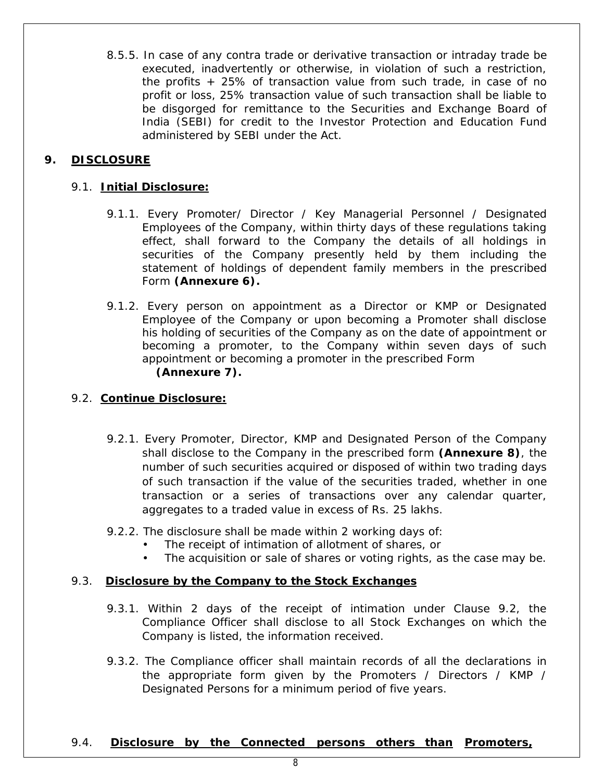8.5.5. In case of any contra trade or derivative transaction or intraday trade be executed, inadvertently or otherwise, in violation of such a restriction, the profits + 25% of transaction value from such trade, in case of no profit or loss, 25% transaction value of such transaction shall be liable to be disgorged for remittance to the Securities and Exchange Board of India (SEBI) for credit to the Investor Protection and Education Fund administered by SEBI under the Act.

## **9. DISCLOSURE**

### 9.1. **Initial Disclosure:**

- 9.1.1. Every Promoter/ Director / Key Managerial Personnel / Designated Employees of the Company, within thirty days of these regulations taking effect, shall forward to the Company the details of all holdings in securities of the Company presently held by them including the statement of holdings of dependent family members in the prescribed Form **(Annexure 6).**
- 9.1.2. Every person on appointment as a Director or KMP or Designated Employee of the Company or upon becoming a Promoter shall disclose his holding of securities of the Company as on the date of appointment or becoming a promoter, to the Company within seven days of such appointment or becoming a promoter in the prescribed Form **(Annexure 7).**

#### 9.2. **Continue Disclosure:**

- 9.2.1. Every Promoter, Director, KMP and Designated Person of the Company shall disclose to the Company in the prescribed form **(Annexure 8)**, the number of such securities acquired or disposed of within two trading days of such transaction if the value of the securities traded, whether in one transaction or a series of transactions over any calendar quarter, aggregates to a traded value in excess of Rs. 25 lakhs.
- 9.2.2. The disclosure shall be made within 2 working days of:
	- The receipt of intimation of allotment of shares, or
	- The acquisition or sale of shares or voting rights, as the case may be.

#### 9.3. **Disclosure by the Company to the Stock Exchanges**

- 9.3.1. Within 2 days of the receipt of intimation under Clause 9.2, the Compliance Officer shall disclose to all Stock Exchanges on which the Company is listed, the information received.
- 9.3.2. The Compliance officer shall maintain records of all the declarations in the appropriate form given by the Promoters / Directors / KMP / Designated Persons for a minimum period of five years.

#### 9.4. **Disclosure by the Connected persons others than Promoters,**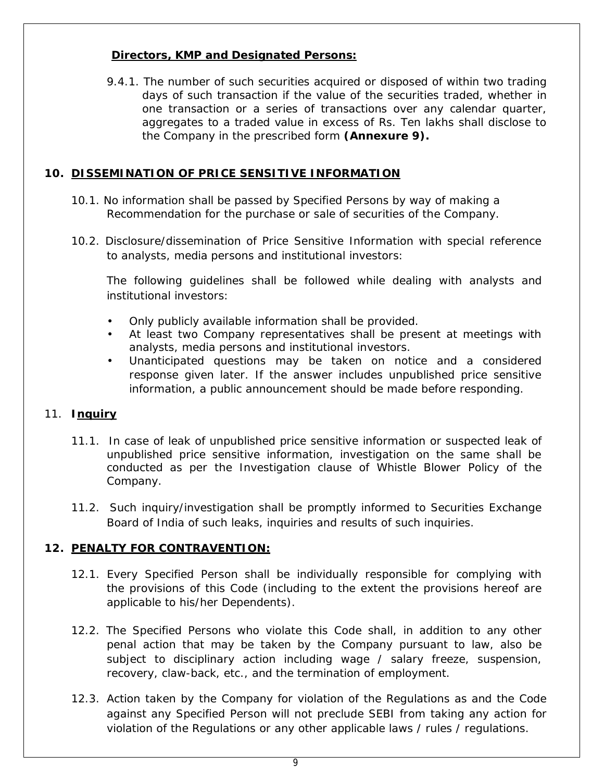## **Directors, KMP and Designated Persons:**

9.4.1. The number of such securities acquired or disposed of within two trading days of such transaction if the value of the securities traded, whether in one transaction or a series of transactions over any calendar quarter, aggregates to a traded value in excess of Rs. Ten lakhs shall disclose to the Company in the prescribed form **(Annexure 9).**

## **10. DISSEMINATION OF PRICE SENSITIVE INFORMATION**

- 10.1. No information shall be passed by Specified Persons by way of making a Recommendation for the purchase or sale of securities of the Company.
- 10.2. Disclosure/dissemination of Price Sensitive Information with special reference to analysts, media persons and institutional investors:

The following guidelines shall be followed while dealing with analysts and institutional investors:

- Only publicly available information shall be provided.
- At least two Company representatives shall be present at meetings with analysts, media persons and institutional investors.
- Unanticipated questions may be taken on notice and a considered response given later. If the answer includes unpublished price sensitive information, a public announcement should be made before responding.

## 11. **Inquiry**

- 11.1. In case of leak of unpublished price sensitive information or suspected leak of unpublished price sensitive information, investigation on the same shall be conducted as per the Investigation clause of Whistle Blower Policy of the Company.
- 11.2. Such inquiry/investigation shall be promptly informed to Securities Exchange Board of India of such leaks, inquiries and results of such inquiries.

# **12. PENALTY FOR CONTRAVENTION:**

- 12.1. Every Specified Person shall be individually responsible for complying with the provisions of this Code (including to the extent the provisions hereof are applicable to his/her Dependents).
- 12.2. The Specified Persons who violate this Code shall, in addition to any other penal action that may be taken by the Company pursuant to law, also be subject to disciplinary action including wage / salary freeze, suspension, recovery, claw-back, etc., and the termination of employment.
- 12.3. Action taken by the Company for violation of the Regulations as and the Code against any Specified Person will not preclude SEBI from taking any action for violation of the Regulations or any other applicable laws / rules / regulations.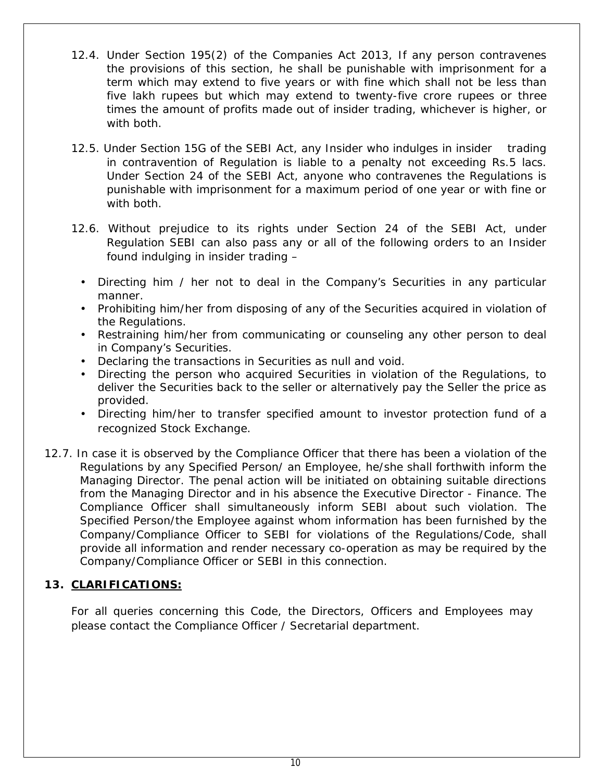- 12.4. Under Section 195(2) of the Companies Act 2013, If any person contravenes the provisions of this section, he shall be punishable with imprisonment for a term which may extend to five years or with fine which shall not be less than five lakh rupees but which may extend to twenty-five crore rupees or three times the amount of profits made out of insider trading, whichever is higher, or with both.
- 12.5. Under Section 15G of the SEBI Act, any Insider who indulges in insider trading in contravention of Regulation is liable to a penalty not exceeding Rs.5 lacs. Under Section 24 of the SEBI Act, anyone who contravenes the Regulations is punishable with imprisonment for a maximum period of one year or with fine or with both.
- 12.6. Without prejudice to its rights under Section 24 of the SEBI Act, under Regulation SEBI can also pass any or all of the following orders to an Insider found indulging in insider trading –
	- Directing him / her not to deal in the Company's Securities in any particular manner.
	- Prohibiting him/her from disposing of any of the Securities acquired in violation of the Regulations.
	- Restraining him/her from communicating or counseling any other person to deal in Company's Securities.
	- Declaring the transactions in Securities as null and void.
	- Directing the person who acquired Securities in violation of the Regulations, to deliver the Securities back to the seller or alternatively pay the Seller the price as provided.
	- Directing him/her to transfer specified amount to investor protection fund of a recognized Stock Exchange.
- 12.7. In case it is observed by the Compliance Officer that there has been a violation of the Regulations by any Specified Person/ an Employee, he/she shall forthwith inform the Managing Director. The penal action will be initiated on obtaining suitable directions from the Managing Director and in his absence the Executive Director - Finance. The Compliance Officer shall simultaneously inform SEBI about such violation. The Specified Person/the Employee against whom information has been furnished by the Company/Compliance Officer to SEBI for violations of the Regulations/Code, shall provide all information and render necessary co-operation as may be required by the Company/Compliance Officer or SEBI in this connection.

# **13. CLARIFICATIONS:**

For all queries concerning this Code, the Directors, Officers and Employees may please contact the Compliance Officer / Secretarial department.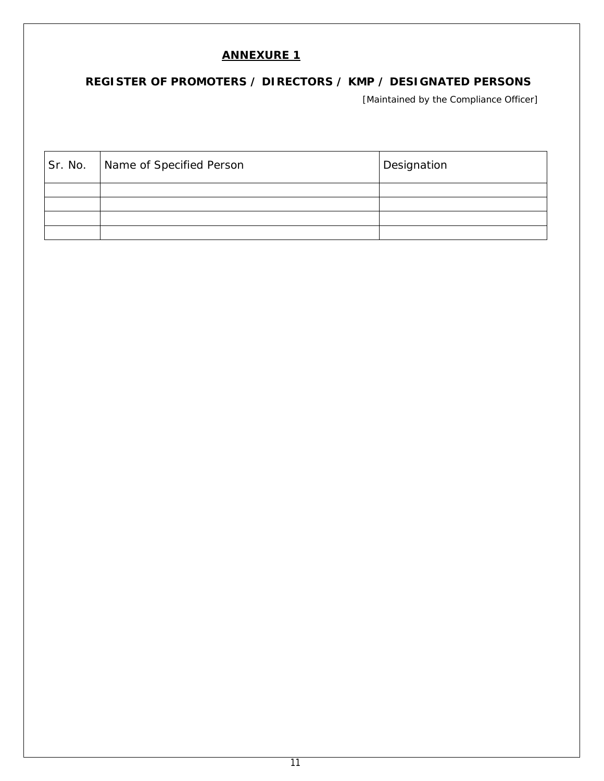# **REGISTER OF PROMOTERS / DIRECTORS / KMP / DESIGNATED PERSONS**

[Maintained by the Compliance Officer]

| Sr. No. | Name of Specified Person | <b>Designation</b> |
|---------|--------------------------|--------------------|
|         |                          |                    |
|         |                          |                    |
|         |                          |                    |
|         |                          |                    |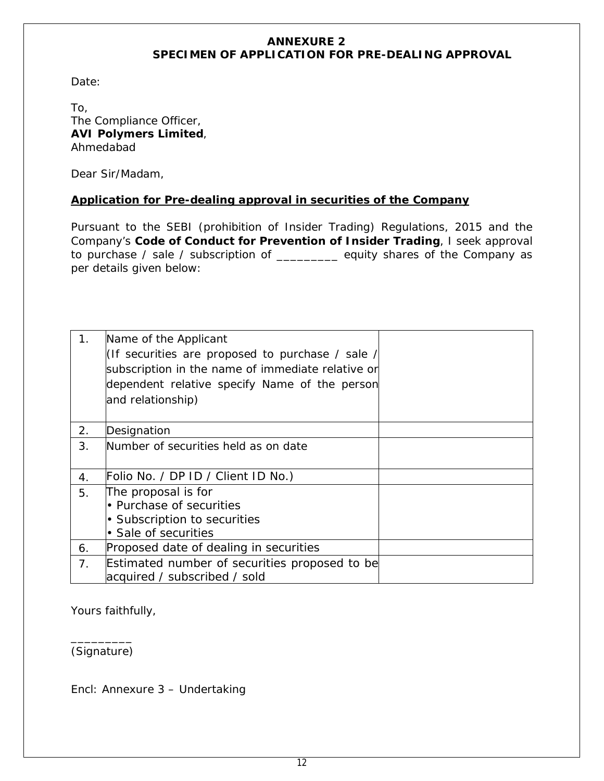## **ANNEXURE 2 SPECIMEN OF APPLICATION FOR PRE-DEALING APPROVAL**

Date:

To, The Compliance Officer, **AVI Polymers Limited**, Ahmedabad

Dear Sir/Madam,

## **Application for Pre-dealing approval in securities of the Company**

Pursuant to the SEBI (prohibition of Insider Trading) Regulations, 2015 and the Company's **Code of Conduct for Prevention of Insider Trading**, I seek approval to purchase / sale / subscription of \_\_\_\_\_\_\_\_\_ equity shares of the Company as per details given below:

| 1 <sub>1</sub> | Name of the Applicant<br>(If securities are proposed to purchase / sale /<br>subscription in the name of immediate relative or<br>dependent relative specify Name of the person<br>and relationship) |  |
|----------------|------------------------------------------------------------------------------------------------------------------------------------------------------------------------------------------------------|--|
| 2.             | Designation                                                                                                                                                                                          |  |
| 3.             | Number of securities held as on date                                                                                                                                                                 |  |
| 4.             | Folio No. / DP ID / Client ID No.)                                                                                                                                                                   |  |
| 5.             | The proposal is for                                                                                                                                                                                  |  |
|                | • Purchase of securities                                                                                                                                                                             |  |
|                | • Subscription to securities                                                                                                                                                                         |  |
|                | • Sale of securities                                                                                                                                                                                 |  |
| 6.             | Proposed date of dealing in securities                                                                                                                                                               |  |
| 7.             | Estimated number of securities proposed to be                                                                                                                                                        |  |
|                | acquired / subscribed / sold                                                                                                                                                                         |  |

Yours faithfully,

\_\_\_\_\_\_\_\_\_ (Signature)

Encl: Annexure 3 – Undertaking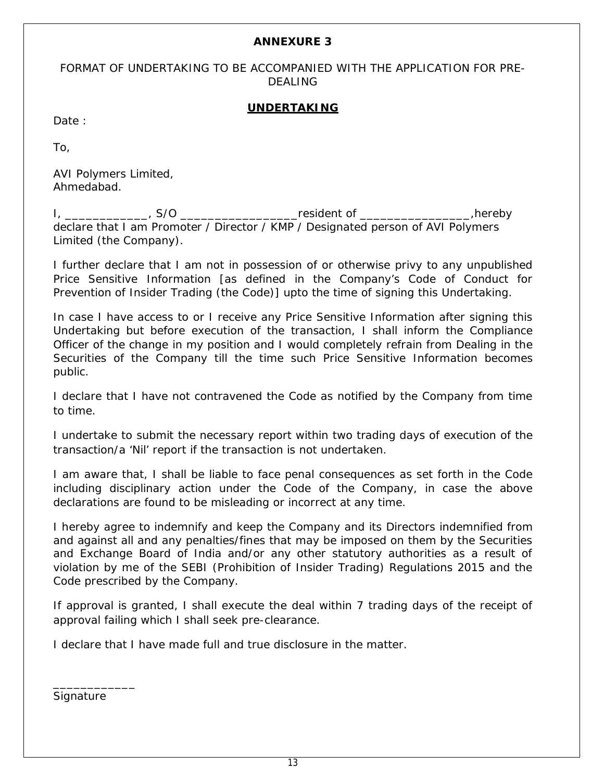FORMAT OF UNDERTAKING TO BE ACCOMPANIED WITH THE APPLICATION FOR PRE-DEALING

### **UNDERTAKING**

Date:

To,

AVI Polymers Limited, Ahmedabad.

I, \_\_\_\_\_\_\_\_\_\_\_\_\_, S/O \_\_\_\_\_\_\_\_\_\_\_\_\_\_\_\_\_\_\_\_\_resident of \_\_\_\_\_\_\_\_\_\_\_\_\_\_\_\_\_\_\_,hereby declare that I am Promoter / Director / KMP / Designated person of AVI Polymers Limited (the Company).

I further declare that I am not in possession of or otherwise privy to any unpublished Price Sensitive Information [as defined in the Company's Code of Conduct for Prevention of Insider Trading (the Code)] upto the time of signing this Undertaking.

In case I have access to or I receive any Price Sensitive Information after signing this Undertaking but before execution of the transaction, I shall inform the Compliance Officer of the change in my position and I would completely refrain from Dealing in the Securities of the Company till the time such Price Sensitive Information becomes public.

I declare that I have not contravened the Code as notified by the Company from time to time.

I undertake to submit the necessary report within two trading days of execution of the transaction/a 'Nil' report if the transaction is not undertaken.

I am aware that, I shall be liable to face penal consequences as set forth in the Code including disciplinary action under the Code of the Company, in case the above declarations are found to be misleading or incorrect at any time.

I hereby agree to indemnify and keep the Company and its Directors indemnified from and against all and any penalties/fines that may be imposed on them by the Securities and Exchange Board of India and/or any other statutory authorities as a result of violation by me of the SEBI (Prohibition of Insider Trading) Regulations 2015 and the Code prescribed by the Company.

If approval is granted, I shall execute the deal within 7 trading days of the receipt of approval failing which I shall seek pre-clearance.

I declare that I have made full and true disclosure in the matter.

**Signature** 

\_\_\_\_\_\_\_\_\_\_\_\_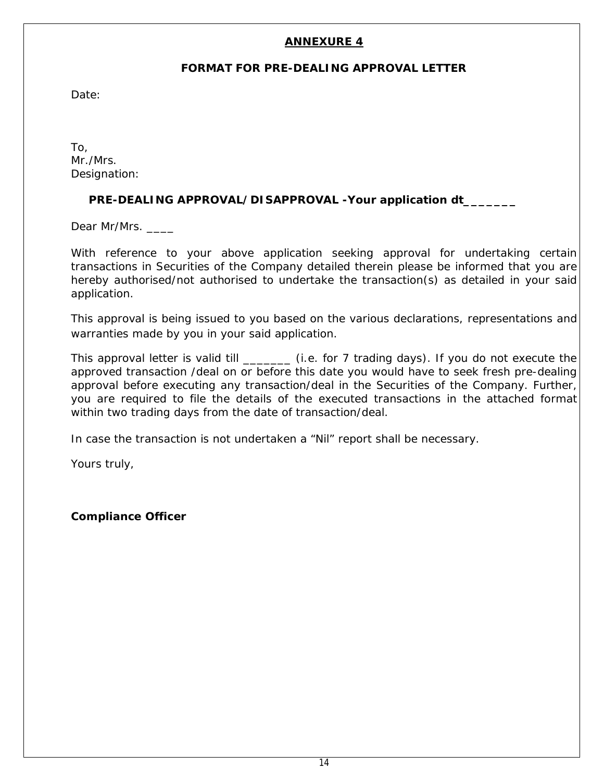### **FORMAT FOR PRE-DEALING APPROVAL LETTER**

Date:

To, Mr./Mrs. Designation:

## **PRE-DEALING APPROVAL/DISAPPROVAL -Your application dt\_\_\_\_\_\_\_**

Dear Mr/Mrs.

With reference to your above application seeking approval for undertaking certain transactions in Securities of the Company detailed therein please be informed that you are hereby authorised/not authorised to undertake the transaction(s) as detailed in your said application.

This approval is being issued to you based on the various declarations, representations and warranties made by you in your said application.

This approval letter is valid till \_\_\_\_\_\_\_\_\_ (i.e. for 7 trading days). If you do not execute the approved transaction /deal on or before this date you would have to seek fresh pre-dealing approval before executing any transaction/deal in the Securities of the Company. Further, you are required to file the details of the executed transactions in the attached format within two trading days from the date of transaction/deal.

In case the transaction is not undertaken a "Nil" report shall be necessary.

Yours truly,

**Compliance Officer**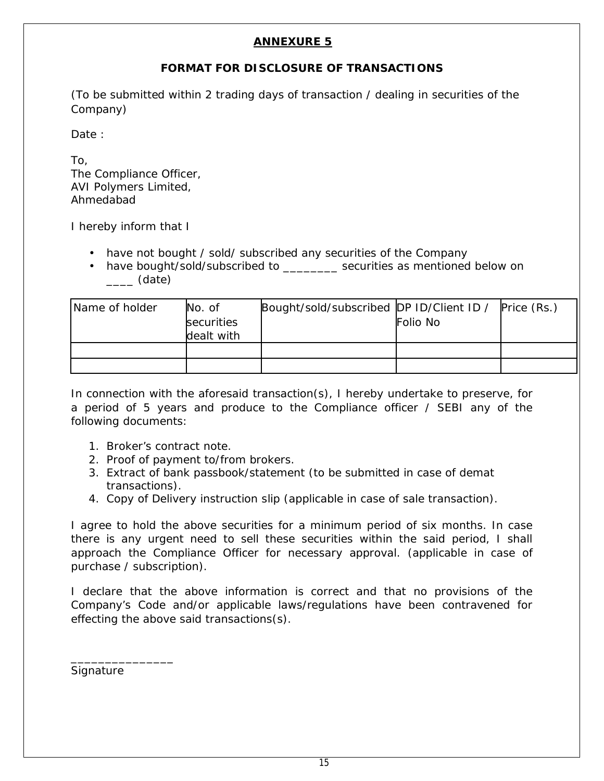# **FORMAT FOR DISCLOSURE OF TRANSACTIONS**

*(To be submitted within 2 trading days of transaction / dealing in securities of the Company)*

Date :

To, The Compliance Officer, AVI Polymers Limited, Ahmedabad

I hereby inform that I

- have not bought / sold/ subscribed any securities of the Company
- have bought/sold/subscribed to example securities as mentioned below on \_\_\_\_ (date)

| Name of holder | No. of<br>securities<br>dealt with | Bought/sold/subscribed DP ID/Client ID / | Folio No | Price (Rs.) |
|----------------|------------------------------------|------------------------------------------|----------|-------------|
|                |                                    |                                          |          |             |

In connection with the aforesaid transaction(s), I hereby undertake to preserve, for a period of 5 years and produce to the Compliance officer / SEBI any of the following documents:

- 1. Broker's contract note.
- 2. Proof of payment to/from brokers.
- 3. Extract of bank passbook/statement (to be submitted in case of demat transactions).
- 4. Copy of Delivery instruction slip (applicable in case of sale transaction).

I agree to hold the above securities for a minimum period of six months. In case there is any urgent need to sell these securities within the said period, I shall approach the Compliance Officer for necessary approval. (*applicable in case of purchase / subscription*).

I declare that the above information is correct and that no provisions of the Company's Code and/or applicable laws/regulations have been contravened for effecting the above said transactions(s).

Signature

\_\_\_\_\_\_\_\_\_\_\_\_\_\_\_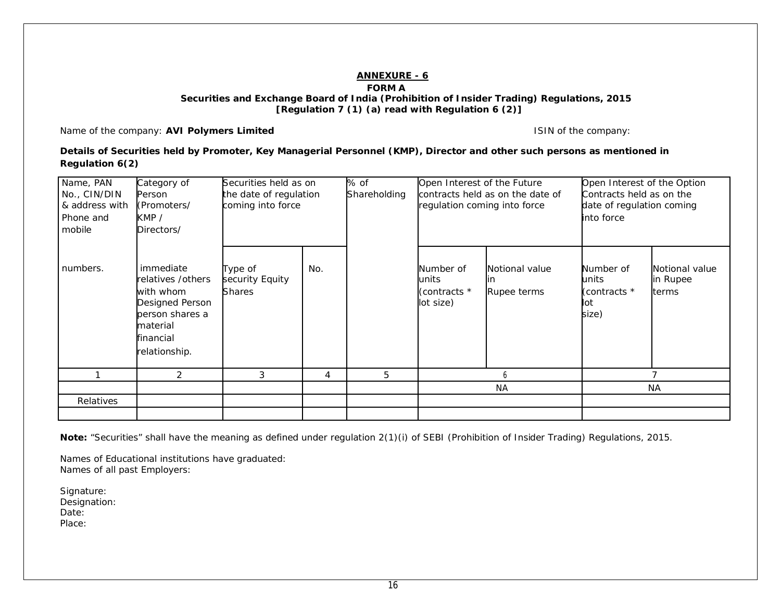#### **FORM A**

 **Securities and Exchange Board of India (Prohibition of Insider Trading) Regulations, 2015 [Regulation 7 (1) (a) read with Regulation 6 (2)]**

Name of the company: **AVI Polymers Limited ISIN** of the company:

**Details of Securities held by Promoter, Key Managerial Personnel (KMP), Director and other such persons as mentioned in Regulation 6(2)**

| Name, PAN<br>No., CIN/DIN<br>& address with<br>Phone and<br>mobile | Category of<br>Person<br>(Promoters/<br>KMP/<br>Directors/                                                                  | Securities held as on<br>the date of regulation<br>coming into force |     | % of<br>Shareholding | Open Interest of the Future<br>regulation coming into force | contracts held as on the date of | Open Interest of the Option<br>Contracts held as on the<br>date of regulation coming<br>into force |                                     |  |  |
|--------------------------------------------------------------------|-----------------------------------------------------------------------------------------------------------------------------|----------------------------------------------------------------------|-----|----------------------|-------------------------------------------------------------|----------------------------------|----------------------------------------------------------------------------------------------------|-------------------------------------|--|--|
| numbers.                                                           | immediate<br>relatives /others<br>with whom<br>Designed Person<br>person shares a<br>material<br>financial<br>relationship. | Type of<br>security Equity<br><b>Shares</b>                          | No. |                      | Number of<br>units<br>(contracts *<br>lot size)             | Notional value<br>Rupee terms    | Number of<br>units<br>(contracts *<br>lot<br>size)                                                 | Notional value<br>in Rupee<br>terms |  |  |
|                                                                    | 2                                                                                                                           | 3                                                                    | 4   | 5                    |                                                             | h                                |                                                                                                    | 7                                   |  |  |
|                                                                    |                                                                                                                             |                                                                      |     |                      | <b>NA</b>                                                   |                                  |                                                                                                    | <b>NA</b>                           |  |  |
| Relatives                                                          |                                                                                                                             |                                                                      |     |                      |                                                             |                                  |                                                                                                    |                                     |  |  |
|                                                                    |                                                                                                                             |                                                                      |     |                      |                                                             |                                  |                                                                                                    |                                     |  |  |

*Note: "Securities" shall have the meaning as defined under regulation 2(1)(i) of SEBI (Prohibition of Insider Trading) Regulations, 2015.*

*Names of Educational institutions have graduated: Names of all past Employers:*

Signature: Designation: Date: Place: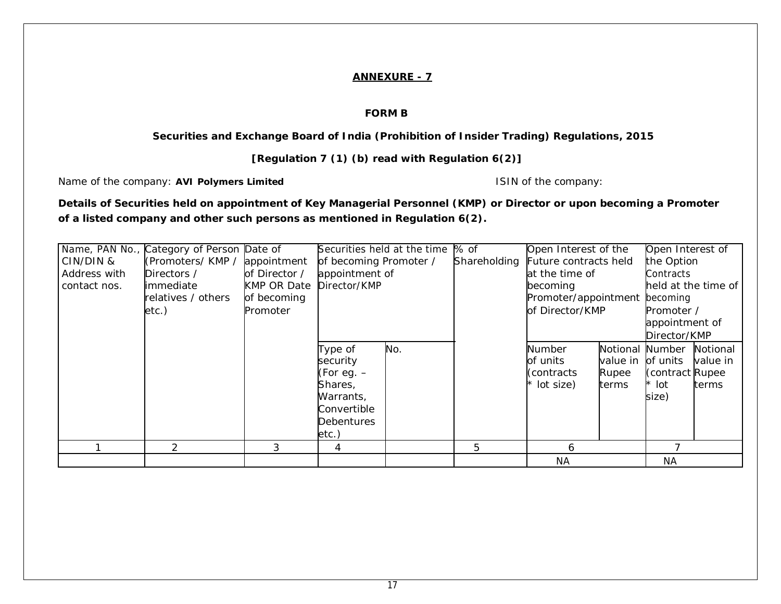#### **FORM B**

#### **Securities and Exchange Board of India (Prohibition of Insider Trading) Regulations, 2015**

### **[Regulation 7 (1) (b) read with Regulation 6(2)]**

Name of the company: AVI Polymers Limited **ISIN** of the company:

**Details of Securities held on appointment of Key Managerial Personnel (KMP) or Director or upon becoming a Promoter of a listed company and other such persons as mentioned in Regulation 6(2).**

| CIN/DIN &<br>Address with<br>contact nos. | Name, PAN No., Category of Person Date of<br>(Promoters/KMP/<br>Directors /<br><b>limmediate</b><br>relatives / others<br>etc.) | appointment<br>of Director /<br><b>KMP OR Date</b><br>of becoming<br>Promoter | of becoming Promoter /<br>appointment of<br>Director/KMP                                                    | Securities held at the time  % of | Shareholding | Open Interest of the<br>Future contracts held<br>at the time of<br>becoming<br>Promoter/appointment becoming<br>of Director/KMP |                                               | Open Interest of<br>the Option<br>Contracts<br>held at the time of<br>Promoter / |                               |  |
|-------------------------------------------|---------------------------------------------------------------------------------------------------------------------------------|-------------------------------------------------------------------------------|-------------------------------------------------------------------------------------------------------------|-----------------------------------|--------------|---------------------------------------------------------------------------------------------------------------------------------|-----------------------------------------------|----------------------------------------------------------------------------------|-------------------------------|--|
|                                           | $\mathcal{P}$                                                                                                                   | 3                                                                             | Type of<br>security<br>(For eg. –<br>Shares,<br>Warrants,<br>Convertible<br><b>Debentures</b><br>etc.)<br>4 | No.                               | 5            | Number<br>of units<br>(contracts)<br>$*$ lot size)<br>6                                                                         | Notional Number<br>value in<br>Rupee<br>terms | appointment of<br>Director/KMP<br>of units<br>(contract Rupee)<br>* lot<br>size) | Notional<br>value in<br>terms |  |
|                                           |                                                                                                                                 |                                                                               |                                                                                                             |                                   |              | <b>NA</b>                                                                                                                       |                                               | NA                                                                               |                               |  |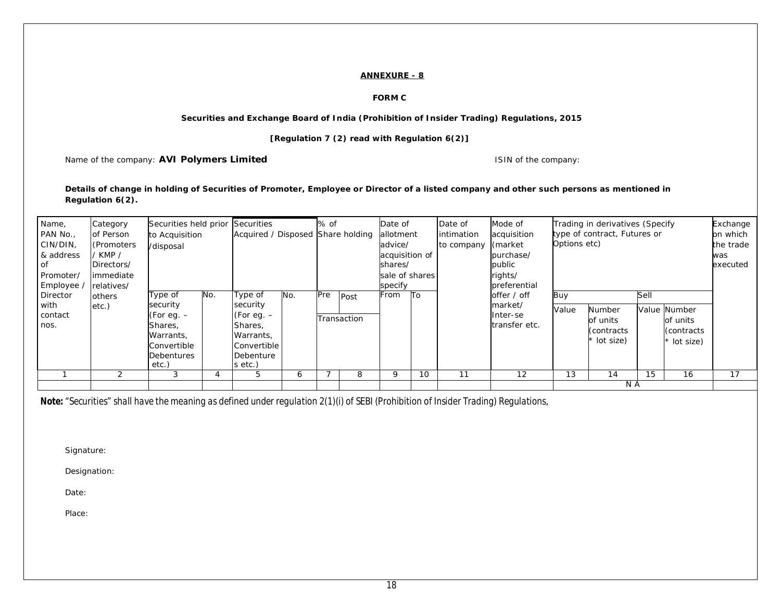#### **FORM C**

#### **Securities and Exchange Board of India (Prohibition of Insider Trading) Regulations, 2015**

**[Regulation 7 (2) read with Regulation 6(2)]**

Name of the company: **AVI Polymers Limited ISIN** of the company:

#### **Details of change in holding of Securities of Promoter, Employee or Director of a listed company and other such persons as mentioned in Regulation 6(2).**

| Name,     | Category    | Securities held prior Securities                    |     |              |     | % of |             | Date of        |                 | Date of     | Mode of                      |              | Trading in derivatives (Specify |      |              | Exchange  |
|-----------|-------------|-----------------------------------------------------|-----|--------------|-----|------|-------------|----------------|-----------------|-------------|------------------------------|--------------|---------------------------------|------|--------------|-----------|
| PAN No.,  | of Person   | Acquired / Disposed Share holding<br>to Acquisition |     |              |     |      | allotment   |                | lintimation     | acquisition | type of contract, Futures or | on which     |                                 |      |              |           |
| CIN/DIN,  | (Promoters) | /disposal                                           |     |              |     |      |             | advice/        |                 | to company  | (market)                     | Options etc) |                                 |      |              | the trade |
| & address | / KMP /     |                                                     |     |              |     |      |             | acquisition of |                 |             | purchase/                    |              |                                 |      |              | was       |
| 0f        | Directors/  |                                                     |     |              |     |      |             | shares/        |                 |             | public                       |              |                                 |      |              | executed  |
| Promoter/ | immediate   |                                                     |     |              |     |      |             | sale of shares |                 |             | rights/                      |              |                                 |      |              |           |
| Employee  | relatives/  |                                                     |     |              |     |      |             | specify        |                 |             | preferential                 |              |                                 |      |              |           |
| Director  | others      | Type of                                             | No. | Type of      | No. | Pre  | Post        | From           | $\overline{10}$ |             | offer / off                  | Buy          |                                 | Sell |              |           |
| with      | etc.)       | security                                            |     | security     |     |      |             |                |                 |             | market/                      | Value        | Number                          |      | Value Number |           |
| contact   |             | (For eg. $-$                                        |     | (For eg. $-$ |     |      | Transaction |                |                 |             | Inter-se                     |              | of units                        |      | of units     |           |
| nos.      |             | Shares,                                             |     | Shares,      |     |      |             |                |                 |             | transfer etc.                |              | (contracts)                     |      | (contracts)  |           |
|           |             | Warrants,                                           |     | Warrants,    |     |      |             |                |                 |             |                              |              | lot size)                       |      | * lot size)  |           |
|           |             | Convertible                                         |     | Convertible  |     |      |             |                |                 |             |                              |              |                                 |      |              |           |
|           |             | Debentures                                          |     | Debenture    |     |      |             |                |                 |             |                              |              |                                 |      |              |           |
|           |             | etc.)                                               |     | s etc.)      |     |      |             |                |                 |             |                              |              |                                 |      |              |           |
|           |             | 3                                                   |     |              | O   |      | 8           | 9              | 10              | 11          | 12                           | 13           | 14                              | 15   | 16           | 17        |
|           |             |                                                     |     |              |     |      |             |                |                 |             |                              |              | N A                             |      |              |           |

Note: "Securities" shall have the meaning as defined under regulation 2(1)(i) of SEBI (Prohibition of Insider Trading) Regulations,

Signature:

Designation:

Date:

Place: